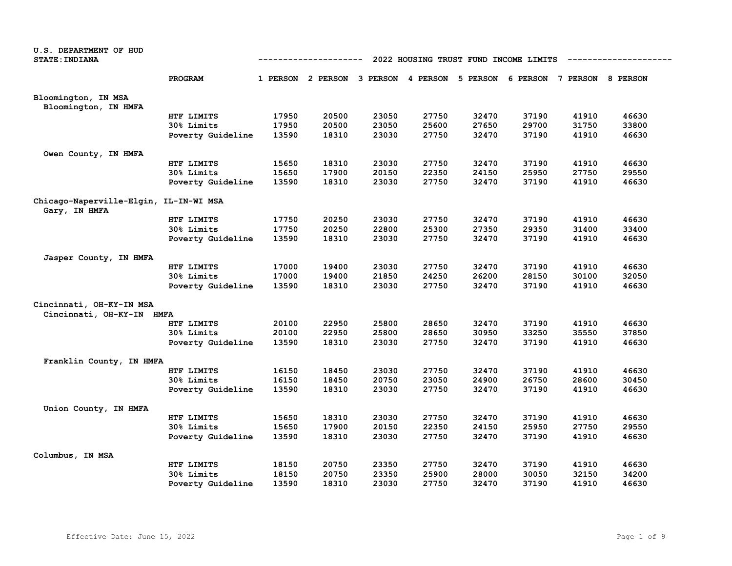| U.S. DEPARTMENT OF HUD<br><b>STATE: INDIANA</b>         |                   |       | ----------                                                              |       |       |       | 2022 HOUSING TRUST FUND INCOME LIMITS |       |       |
|---------------------------------------------------------|-------------------|-------|-------------------------------------------------------------------------|-------|-------|-------|---------------------------------------|-------|-------|
|                                                         | PROGRAM           |       | 1 PERSON 2 PERSON 3 PERSON 4 PERSON 5 PERSON 6 PERSON 7 PERSON 8 PERSON |       |       |       |                                       |       |       |
| Bloomington, IN MSA                                     |                   |       |                                                                         |       |       |       |                                       |       |       |
| Bloomington, IN HMFA                                    | HTF LIMITS        | 17950 | 20500                                                                   | 23050 | 27750 | 32470 | 37190                                 | 41910 | 46630 |
|                                                         | 30% Limits        | 17950 | 20500                                                                   | 23050 | 25600 | 27650 | 29700                                 | 31750 | 33800 |
|                                                         | Poverty Guideline | 13590 | 18310                                                                   | 23030 | 27750 | 32470 | 37190                                 | 41910 | 46630 |
| Owen County, IN HMFA                                    |                   |       |                                                                         |       |       |       |                                       |       |       |
|                                                         | HTF LIMITS        | 15650 | 18310                                                                   | 23030 | 27750 | 32470 | 37190                                 | 41910 | 46630 |
|                                                         | 30% Limits        | 15650 | 17900                                                                   | 20150 | 22350 | 24150 | 25950                                 | 27750 | 29550 |
|                                                         | Poverty Guideline | 13590 | 18310                                                                   | 23030 | 27750 | 32470 | 37190                                 | 41910 | 46630 |
| Chicago-Naperville-Elgin, IL-IN-WI MSA<br>Gary, IN HMFA |                   |       |                                                                         |       |       |       |                                       |       |       |
|                                                         | HTF LIMITS        | 17750 | 20250                                                                   | 23030 | 27750 | 32470 | 37190                                 | 41910 | 46630 |
|                                                         | 30% Limits        | 17750 | 20250                                                                   | 22800 | 25300 | 27350 | 29350                                 | 31400 | 33400 |
|                                                         | Poverty Guideline | 13590 | 18310                                                                   | 23030 | 27750 | 32470 | 37190                                 | 41910 | 46630 |
| Jasper County, IN HMFA                                  |                   |       |                                                                         |       |       |       |                                       |       |       |
|                                                         | HTF LIMITS        | 17000 | 19400                                                                   | 23030 | 27750 | 32470 | 37190                                 | 41910 | 46630 |
|                                                         | 30% Limits        | 17000 | 19400                                                                   | 21850 | 24250 | 26200 | 28150                                 | 30100 | 32050 |
|                                                         | Poverty Guideline | 13590 | 18310                                                                   | 23030 | 27750 | 32470 | 37190                                 | 41910 | 46630 |
| Cincinnati, OH-KY-IN MSA                                |                   |       |                                                                         |       |       |       |                                       |       |       |
| Cincinnati, OH-KY-IN HMFA                               |                   |       |                                                                         |       |       |       |                                       |       |       |
|                                                         | HTF LIMITS        | 20100 | 22950                                                                   | 25800 | 28650 | 32470 | 37190                                 | 41910 | 46630 |
|                                                         | 30% Limits        | 20100 | 22950                                                                   | 25800 | 28650 | 30950 | 33250                                 | 35550 | 37850 |
|                                                         | Poverty Guideline | 13590 | 18310                                                                   | 23030 | 27750 | 32470 | 37190                                 | 41910 | 46630 |
| Franklin County, IN HMFA                                |                   |       |                                                                         |       |       |       |                                       |       |       |
|                                                         | HTF LIMITS        | 16150 | 18450                                                                   | 23030 | 27750 | 32470 | 37190                                 | 41910 | 46630 |
|                                                         | 30% Limits        | 16150 | 18450                                                                   | 20750 | 23050 | 24900 | 26750                                 | 28600 | 30450 |
|                                                         | Poverty Guideline | 13590 | 18310                                                                   | 23030 | 27750 | 32470 | 37190                                 | 41910 | 46630 |
| Union County, IN HMFA                                   |                   |       |                                                                         |       |       |       |                                       |       |       |
|                                                         | HTF LIMITS        | 15650 | 18310                                                                   | 23030 | 27750 | 32470 | 37190                                 | 41910 | 46630 |
|                                                         | 30% Limits        | 15650 | 17900                                                                   | 20150 | 22350 | 24150 | 25950                                 | 27750 | 29550 |
|                                                         | Poverty Guideline | 13590 | 18310                                                                   | 23030 | 27750 | 32470 | 37190                                 | 41910 | 46630 |
| Columbus, IN MSA                                        |                   |       |                                                                         |       |       |       |                                       |       |       |
|                                                         | HTF LIMITS        | 18150 | 20750                                                                   | 23350 | 27750 | 32470 | 37190                                 | 41910 | 46630 |
|                                                         | 30% Limits        | 18150 | 20750                                                                   | 23350 | 25900 | 28000 | 30050                                 | 32150 | 34200 |
|                                                         | Poverty Guideline | 13590 | 18310                                                                   | 23030 | 27750 | 32470 | 37190                                 | 41910 | 46630 |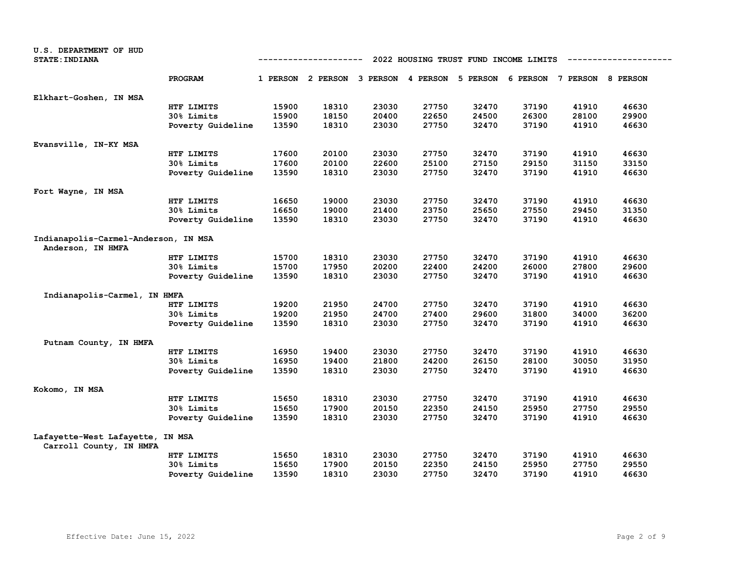| U.S. DEPARTMENT OF HUD<br><b>STATE: INDIANA</b>             |                   | 2022 HOUSING TRUST FUND INCOME LIMITS<br>-----------<br>6 PERSON 7 PERSON 8 PERSON<br>1 PERSON 2 PERSON 3 PERSON 4 PERSON |       |       |       |          |       |       |       |  |
|-------------------------------------------------------------|-------------------|---------------------------------------------------------------------------------------------------------------------------|-------|-------|-------|----------|-------|-------|-------|--|
|                                                             | PROGRAM           |                                                                                                                           |       |       |       | 5 PERSON |       |       |       |  |
| Elkhart-Goshen, IN MSA                                      |                   |                                                                                                                           |       |       |       |          |       |       |       |  |
|                                                             | HTF LIMITS        | 15900                                                                                                                     | 18310 | 23030 | 27750 | 32470    | 37190 | 41910 | 46630 |  |
|                                                             | 30% Limits        | 15900                                                                                                                     | 18150 | 20400 | 22650 | 24500    | 26300 | 28100 | 29900 |  |
|                                                             | Poverty Guideline | 13590                                                                                                                     | 18310 | 23030 | 27750 | 32470    | 37190 | 41910 | 46630 |  |
| Evansville, IN-KY MSA                                       |                   |                                                                                                                           |       |       |       |          |       |       |       |  |
|                                                             | HTF LIMITS        | 17600                                                                                                                     | 20100 | 23030 | 27750 | 32470    | 37190 | 41910 | 46630 |  |
|                                                             | 30% Limits        | 17600                                                                                                                     | 20100 | 22600 | 25100 | 27150    | 29150 | 31150 | 33150 |  |
|                                                             | Poverty Guideline | 13590                                                                                                                     | 18310 | 23030 | 27750 | 32470    | 37190 | 41910 | 46630 |  |
| Fort Wayne, IN MSA                                          |                   |                                                                                                                           |       |       |       |          |       |       |       |  |
|                                                             | HTF LIMITS        | 16650                                                                                                                     | 19000 | 23030 | 27750 | 32470    | 37190 | 41910 | 46630 |  |
|                                                             | 30% Limits        | 16650                                                                                                                     | 19000 | 21400 | 23750 | 25650    | 27550 | 29450 | 31350 |  |
|                                                             | Poverty Guideline | 13590                                                                                                                     | 18310 | 23030 | 27750 | 32470    | 37190 | 41910 | 46630 |  |
| Indianapolis-Carmel-Anderson, IN MSA<br>Anderson, IN HMFA   |                   |                                                                                                                           |       |       |       |          |       |       |       |  |
|                                                             | HTF LIMITS        | 15700                                                                                                                     | 18310 | 23030 | 27750 | 32470    | 37190 | 41910 | 46630 |  |
|                                                             | 30% Limits        | 15700                                                                                                                     | 17950 | 20200 | 22400 | 24200    | 26000 | 27800 | 29600 |  |
|                                                             | Poverty Guideline | 13590                                                                                                                     | 18310 | 23030 | 27750 | 32470    | 37190 | 41910 | 46630 |  |
| Indianapolis-Carmel, IN HMFA                                |                   |                                                                                                                           |       |       |       |          |       |       |       |  |
|                                                             | HTF LIMITS        | 19200                                                                                                                     | 21950 | 24700 | 27750 | 32470    | 37190 | 41910 | 46630 |  |
|                                                             | 30% Limits        | 19200                                                                                                                     | 21950 | 24700 | 27400 | 29600    | 31800 | 34000 | 36200 |  |
|                                                             | Poverty Guideline | 13590                                                                                                                     | 18310 | 23030 | 27750 | 32470    | 37190 | 41910 | 46630 |  |
| Putnam County, IN HMFA                                      |                   |                                                                                                                           |       |       |       |          |       |       |       |  |
|                                                             | HTF LIMITS        | 16950                                                                                                                     | 19400 | 23030 | 27750 | 32470    | 37190 | 41910 | 46630 |  |
|                                                             | 30% Limits        | 16950                                                                                                                     | 19400 | 21800 | 24200 | 26150    | 28100 | 30050 | 31950 |  |
|                                                             | Poverty Guideline | 13590                                                                                                                     | 18310 | 23030 | 27750 | 32470    | 37190 | 41910 | 46630 |  |
| Kokomo, IN MSA                                              |                   |                                                                                                                           |       |       |       |          |       |       |       |  |
|                                                             | HTF LIMITS        | 15650                                                                                                                     | 18310 | 23030 | 27750 | 32470    | 37190 | 41910 | 46630 |  |
|                                                             | 30% Limits        | 15650                                                                                                                     | 17900 | 20150 | 22350 | 24150    | 25950 | 27750 | 29550 |  |
|                                                             | Poverty Guideline | 13590                                                                                                                     | 18310 | 23030 | 27750 | 32470    | 37190 | 41910 | 46630 |  |
| Lafayette-West Lafayette, IN MSA<br>Carroll County, IN HMFA |                   |                                                                                                                           |       |       |       |          |       |       |       |  |
|                                                             | HTF LIMITS        | 15650                                                                                                                     | 18310 | 23030 | 27750 | 32470    | 37190 | 41910 | 46630 |  |
|                                                             | 30% Limits        | 15650                                                                                                                     | 17900 | 20150 | 22350 | 24150    | 25950 | 27750 | 29550 |  |
|                                                             | Poverty Guideline | 13590                                                                                                                     | 18310 | 23030 | 27750 | 32470    | 37190 | 41910 | 46630 |  |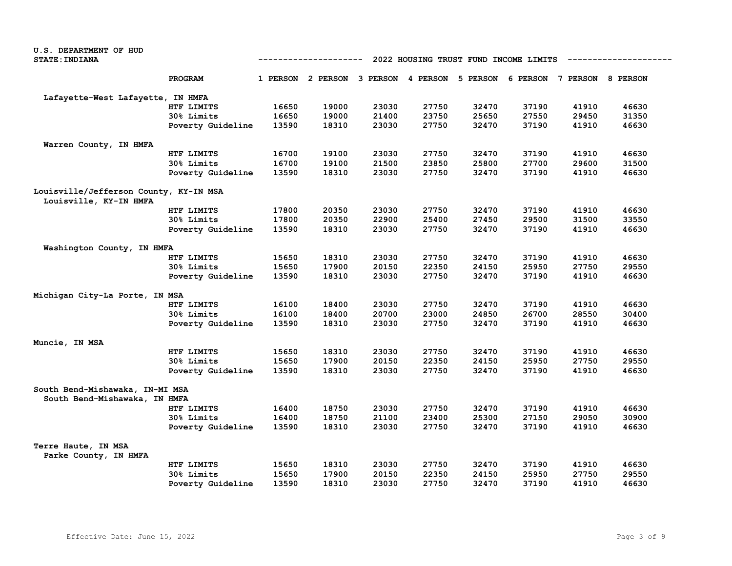| <b>U.S. DEPARTMENT OF HUD</b>          |                   |       |                   |       |                   |          |                                       |                   |       |
|----------------------------------------|-------------------|-------|-------------------|-------|-------------------|----------|---------------------------------------|-------------------|-------|
| <b>STATE: INDIANA</b>                  |                   |       | -----------       |       |                   |          | 2022 HOUSING TRUST FUND INCOME LIMITS |                   |       |
|                                        | PROGRAM           |       | 1 PERSON 2 PERSON |       | 3 PERSON 4 PERSON | 5 PERSON | 6 PERSON                              | 7 PERSON 8 PERSON |       |
| Lafayette-West Lafayette, IN HMFA      |                   |       |                   |       |                   |          |                                       |                   |       |
|                                        | HTF LIMITS        | 16650 | 19000             | 23030 | 27750             | 32470    | 37190                                 | 41910             | 46630 |
|                                        | 30% Limits        | 16650 | 19000             | 21400 | 23750             | 25650    | 27550                                 | 29450             | 31350 |
|                                        | Poverty Guideline | 13590 | 18310             | 23030 | 27750             | 32470    | 37190                                 | 41910             | 46630 |
| Warren County, IN HMFA                 |                   |       |                   |       |                   |          |                                       |                   |       |
|                                        | HTF LIMITS        | 16700 | 19100             | 23030 | 27750             | 32470    | 37190                                 | 41910             | 46630 |
|                                        | 30% Limits        | 16700 | 19100             | 21500 | 23850             | 25800    | 27700                                 | 29600             | 31500 |
|                                        | Poverty Guideline | 13590 | 18310             | 23030 | 27750             | 32470    | 37190                                 | 41910             | 46630 |
| Louisville/Jefferson County, KY-IN MSA |                   |       |                   |       |                   |          |                                       |                   |       |
| Louisville, KY-IN HMFA                 |                   |       |                   |       |                   |          |                                       |                   |       |
|                                        | HTF LIMITS        | 17800 | 20350             | 23030 | 27750             | 32470    | 37190                                 | 41910             | 46630 |
|                                        | 30% Limits        | 17800 | 20350             | 22900 | 25400             | 27450    | 29500                                 | 31500             | 33550 |
|                                        | Poverty Guideline | 13590 | 18310             | 23030 | 27750             | 32470    | 37190                                 | 41910             | 46630 |
| Washington County, IN HMFA             |                   |       |                   |       |                   |          |                                       |                   |       |
|                                        | HTF LIMITS        | 15650 | 18310             | 23030 | 27750             | 32470    | 37190                                 | 41910             | 46630 |
|                                        | 30% Limits        | 15650 | 17900             | 20150 | 22350             | 24150    | 25950                                 | 27750             | 29550 |
|                                        | Poverty Guideline | 13590 | 18310             | 23030 | 27750             | 32470    | 37190                                 | 41910             | 46630 |
| Michigan City-La Porte, IN MSA         |                   |       |                   |       |                   |          |                                       |                   |       |
|                                        | HTF LIMITS        | 16100 | 18400             | 23030 | 27750             | 32470    | 37190                                 | 41910             | 46630 |
|                                        | 30% Limits        | 16100 | 18400             | 20700 | 23000             | 24850    | 26700                                 | 28550             | 30400 |
|                                        | Poverty Guideline | 13590 | 18310             | 23030 | 27750             | 32470    | 37190                                 | 41910             | 46630 |
| Muncie, IN MSA                         |                   |       |                   |       |                   |          |                                       |                   |       |
|                                        | HTF LIMITS        | 15650 | 18310             | 23030 | 27750             | 32470    | 37190                                 | 41910             | 46630 |
|                                        | 30% Limits        | 15650 | 17900             | 20150 | 22350             | 24150    | 25950                                 | 27750             | 29550 |
|                                        | Poverty Guideline | 13590 | 18310             | 23030 | 27750             | 32470    | 37190                                 | 41910             | 46630 |
| South Bend-Mishawaka, IN-MI MSA        |                   |       |                   |       |                   |          |                                       |                   |       |
| South Bend-Mishawaka, IN HMFA          |                   |       |                   |       |                   |          |                                       |                   |       |
|                                        | HTF LIMITS        | 16400 | 18750             | 23030 | 27750             | 32470    | 37190                                 | 41910             | 46630 |
|                                        | 30% Limits        | 16400 | 18750             | 21100 | 23400             | 25300    | 27150                                 | 29050             | 30900 |
|                                        | Poverty Guideline | 13590 | 18310             | 23030 | 27750             | 32470    | 37190                                 | 41910             | 46630 |
| Terre Haute, IN MSA                    |                   |       |                   |       |                   |          |                                       |                   |       |
| Parke County, IN HMFA                  |                   |       |                   |       |                   |          |                                       |                   |       |
|                                        | HTF LIMITS        | 15650 | 18310             | 23030 | 27750             | 32470    | 37190                                 | 41910             | 46630 |
|                                        | 30% Limits        | 15650 | 17900             | 20150 | 22350             | 24150    | 25950                                 | 27750             | 29550 |
|                                        | Poverty Guideline | 13590 | 18310             | 23030 | 27750             | 32470    | 37190                                 | 41910             | 46630 |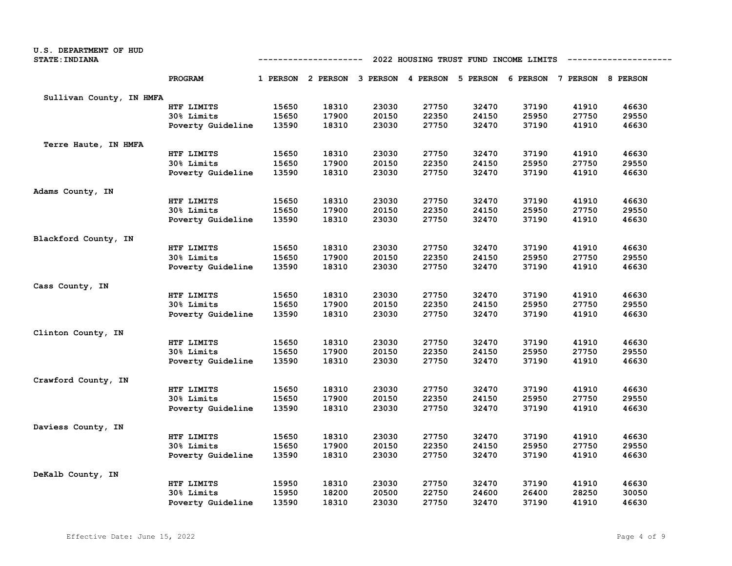| U.S. DEPARTMENT OF HUD<br><b>STATE: INDIANA</b> |                   |       | ------------                                                            |       |       | 2022 HOUSING TRUST FUND INCOME LIMITS |       |       |       |
|-------------------------------------------------|-------------------|-------|-------------------------------------------------------------------------|-------|-------|---------------------------------------|-------|-------|-------|
|                                                 |                   |       |                                                                         |       |       |                                       |       |       |       |
|                                                 | PROGRAM           |       | 1 PERSON 2 PERSON 3 PERSON 4 PERSON 5 PERSON 6 PERSON 7 PERSON 8 PERSON |       |       |                                       |       |       |       |
| Sullivan County, IN HMFA                        |                   |       |                                                                         |       |       |                                       |       |       |       |
|                                                 | HTF LIMITS        | 15650 | 18310                                                                   | 23030 | 27750 | 32470                                 | 37190 | 41910 | 46630 |
|                                                 | 30% Limits        | 15650 | 17900                                                                   | 20150 | 22350 | 24150                                 | 25950 | 27750 | 29550 |
|                                                 | Poverty Guideline | 13590 | 18310                                                                   | 23030 | 27750 | 32470                                 | 37190 | 41910 | 46630 |
| Terre Haute, IN HMFA                            |                   |       |                                                                         |       |       |                                       |       |       |       |
|                                                 | HTF LIMITS        | 15650 | 18310                                                                   | 23030 | 27750 | 32470                                 | 37190 | 41910 | 46630 |
|                                                 | 30% Limits        | 15650 | 17900                                                                   | 20150 | 22350 | 24150                                 | 25950 | 27750 | 29550 |
|                                                 | Poverty Guideline | 13590 | 18310                                                                   | 23030 | 27750 | 32470                                 | 37190 | 41910 | 46630 |
| Adams County, IN                                |                   |       |                                                                         |       |       |                                       |       |       |       |
|                                                 | HTF LIMITS        | 15650 | 18310                                                                   | 23030 | 27750 | 32470                                 | 37190 | 41910 | 46630 |
|                                                 | 30% Limits        | 15650 | 17900                                                                   | 20150 | 22350 | 24150                                 | 25950 | 27750 | 29550 |
|                                                 | Poverty Guideline | 13590 | 18310                                                                   | 23030 | 27750 | 32470                                 | 37190 | 41910 | 46630 |
| Blackford County, IN                            |                   |       |                                                                         |       |       |                                       |       |       |       |
|                                                 | HTF LIMITS        | 15650 | 18310                                                                   | 23030 | 27750 | 32470                                 | 37190 | 41910 | 46630 |
|                                                 | 30% Limits        | 15650 | 17900                                                                   | 20150 | 22350 | 24150                                 | 25950 | 27750 | 29550 |
|                                                 | Poverty Guideline | 13590 | 18310                                                                   | 23030 | 27750 | 32470                                 | 37190 | 41910 | 46630 |
| Cass County, IN                                 |                   |       |                                                                         |       |       |                                       |       |       |       |
|                                                 | HTF LIMITS        | 15650 | 18310                                                                   | 23030 | 27750 | 32470                                 | 37190 | 41910 | 46630 |
|                                                 | 30% Limits        | 15650 | 17900                                                                   | 20150 | 22350 | 24150                                 | 25950 | 27750 | 29550 |
|                                                 | Poverty Guideline | 13590 | 18310                                                                   | 23030 | 27750 | 32470                                 | 37190 | 41910 | 46630 |
| Clinton County, IN                              |                   |       |                                                                         |       |       |                                       |       |       |       |
|                                                 | HTF LIMITS        | 15650 | 18310                                                                   | 23030 | 27750 | 32470                                 | 37190 | 41910 | 46630 |
|                                                 | 30% Limits        | 15650 | 17900                                                                   | 20150 | 22350 | 24150                                 | 25950 | 27750 | 29550 |
|                                                 | Poverty Guideline | 13590 | 18310                                                                   | 23030 | 27750 | 32470                                 | 37190 | 41910 | 46630 |
| Crawford County, IN                             |                   |       |                                                                         |       |       |                                       |       |       |       |
|                                                 | HTF LIMITS        | 15650 | 18310                                                                   | 23030 | 27750 | 32470                                 | 37190 | 41910 | 46630 |
|                                                 | 30% Limits        | 15650 | 17900                                                                   | 20150 | 22350 | 24150                                 | 25950 | 27750 | 29550 |
|                                                 | Poverty Guideline | 13590 | 18310                                                                   | 23030 | 27750 | 32470                                 | 37190 | 41910 | 46630 |
| Daviess County, IN                              |                   |       |                                                                         |       |       |                                       |       |       |       |
|                                                 | HTF LIMITS        | 15650 | 18310                                                                   | 23030 | 27750 | 32470                                 | 37190 | 41910 | 46630 |
|                                                 | 30% Limits        | 15650 | 17900                                                                   | 20150 | 22350 | 24150                                 | 25950 | 27750 | 29550 |
|                                                 | Poverty Guideline | 13590 | 18310                                                                   | 23030 | 27750 | 32470                                 | 37190 | 41910 | 46630 |
| DeKalb County, IN                               |                   |       |                                                                         |       |       |                                       |       |       |       |
|                                                 | HTF LIMITS        | 15950 | 18310                                                                   | 23030 | 27750 | 32470                                 | 37190 | 41910 | 46630 |
|                                                 | 30% Limits        | 15950 | 18200                                                                   | 20500 | 22750 | 24600                                 | 26400 | 28250 | 30050 |
|                                                 | Poverty Guideline | 13590 | 18310                                                                   | 23030 | 27750 | 32470                                 | 37190 | 41910 | 46630 |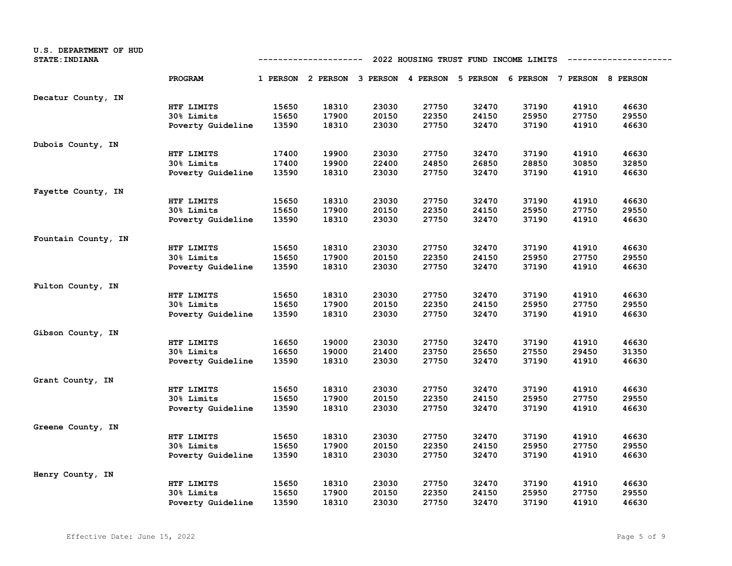| U.S. DEPARTMENT OF HUD<br><b>STATE: INDIANA</b> |                   | 2022 HOUSING TRUST FUND INCOME LIMITS<br>---------- |                                                                         |       |       |       |       |       |       |
|-------------------------------------------------|-------------------|-----------------------------------------------------|-------------------------------------------------------------------------|-------|-------|-------|-------|-------|-------|
|                                                 | PROGRAM           |                                                     | 1 PERSON 2 PERSON 3 PERSON 4 PERSON 5 PERSON 6 PERSON 7 PERSON 8 PERSON |       |       |       |       |       |       |
| Decatur County, IN                              |                   |                                                     |                                                                         |       |       |       |       |       |       |
|                                                 | HTF LIMITS        | 15650                                               | 18310                                                                   | 23030 | 27750 | 32470 | 37190 | 41910 | 46630 |
|                                                 | 30% Limits        | 15650                                               | 17900                                                                   | 20150 | 22350 | 24150 | 25950 | 27750 | 29550 |
|                                                 | Poverty Guideline | 13590                                               | 18310                                                                   | 23030 | 27750 | 32470 | 37190 | 41910 | 46630 |
| Dubois County, IN                               |                   |                                                     |                                                                         |       |       |       |       |       |       |
|                                                 | HTF LIMITS        | 17400                                               | 19900                                                                   | 23030 | 27750 | 32470 | 37190 | 41910 | 46630 |
|                                                 | 30% Limits        | 17400                                               | 19900                                                                   | 22400 | 24850 | 26850 | 28850 | 30850 | 32850 |
|                                                 | Poverty Guideline | 13590                                               | 18310                                                                   | 23030 | 27750 | 32470 | 37190 | 41910 | 46630 |
| Fayette County, IN                              |                   |                                                     |                                                                         |       |       |       |       |       |       |
|                                                 | HTF LIMITS        | 15650                                               | 18310                                                                   | 23030 | 27750 | 32470 | 37190 | 41910 | 46630 |
|                                                 | 30% Limits        | 15650                                               | 17900                                                                   | 20150 | 22350 | 24150 | 25950 | 27750 | 29550 |
|                                                 | Poverty Guideline | 13590                                               | 18310                                                                   | 23030 | 27750 | 32470 | 37190 | 41910 | 46630 |
| Fountain County, IN                             |                   |                                                     |                                                                         |       |       |       |       |       |       |
|                                                 | HTF LIMITS        | 15650                                               | 18310                                                                   | 23030 | 27750 | 32470 | 37190 | 41910 | 46630 |
|                                                 | 30% Limits        | 15650                                               | 17900                                                                   | 20150 | 22350 | 24150 | 25950 | 27750 | 29550 |
|                                                 | Poverty Guideline | 13590                                               | 18310                                                                   | 23030 | 27750 | 32470 | 37190 | 41910 | 46630 |
| Fulton County, IN                               |                   |                                                     |                                                                         |       |       |       |       |       |       |
|                                                 | HTF LIMITS        | 15650                                               | 18310                                                                   | 23030 | 27750 | 32470 | 37190 | 41910 | 46630 |
|                                                 | 30% Limits        | 15650                                               | 17900                                                                   | 20150 | 22350 | 24150 | 25950 | 27750 | 29550 |
|                                                 | Poverty Guideline | 13590                                               | 18310                                                                   | 23030 | 27750 | 32470 | 37190 | 41910 | 46630 |
| Gibson County, IN                               |                   |                                                     |                                                                         |       |       |       |       |       |       |
|                                                 | HTF LIMITS        | 16650                                               | 19000                                                                   | 23030 | 27750 | 32470 | 37190 | 41910 | 46630 |
|                                                 | 30% Limits        | 16650                                               | 19000                                                                   | 21400 | 23750 | 25650 | 27550 | 29450 | 31350 |
|                                                 | Poverty Guideline | 13590                                               | 18310                                                                   | 23030 | 27750 | 32470 | 37190 | 41910 | 46630 |
| Grant County, IN                                |                   |                                                     |                                                                         |       |       |       |       |       |       |
|                                                 | HTF LIMITS        | 15650                                               | 18310                                                                   | 23030 | 27750 | 32470 | 37190 | 41910 | 46630 |
|                                                 | <b>30% Limits</b> | 15650                                               | 17900                                                                   | 20150 | 22350 | 24150 | 25950 | 27750 | 29550 |
|                                                 | Poverty Guideline | 13590                                               | 18310                                                                   | 23030 | 27750 | 32470 | 37190 | 41910 | 46630 |
| Greene County, IN                               |                   |                                                     |                                                                         |       |       |       |       |       |       |
|                                                 | HTF LIMITS        | 15650                                               | 18310                                                                   | 23030 | 27750 | 32470 | 37190 | 41910 | 46630 |
|                                                 | 30% Limits        | 15650                                               | 17900                                                                   | 20150 | 22350 | 24150 | 25950 | 27750 | 29550 |
|                                                 | Poverty Guideline | 13590                                               | 18310                                                                   | 23030 | 27750 | 32470 | 37190 | 41910 | 46630 |
| Henry County, IN                                |                   |                                                     |                                                                         |       |       |       |       |       |       |
|                                                 | HTF LIMITS        | 15650                                               | 18310                                                                   | 23030 | 27750 | 32470 | 37190 | 41910 | 46630 |
|                                                 | 30% Limits        | 15650                                               | 17900                                                                   | 20150 | 22350 | 24150 | 25950 | 27750 | 29550 |
|                                                 | Poverty Guideline | 13590                                               | 18310                                                                   | 23030 | 27750 | 32470 | 37190 | 41910 | 46630 |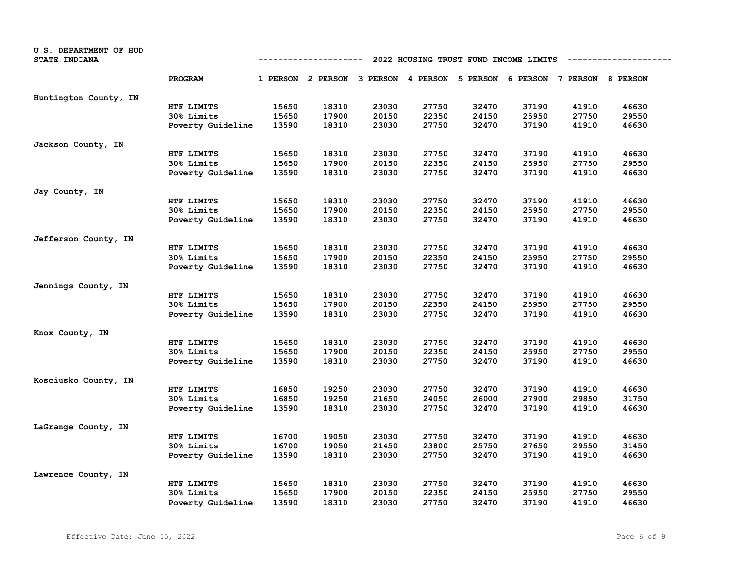| U.S. DEPARTMENT OF HUD<br><b>STATE: INDIANA</b> |                   | 2022 HOUSING TRUST FUND INCOME LIMITS<br>---------- |                                                                         |       |       |       |       |       |       |
|-------------------------------------------------|-------------------|-----------------------------------------------------|-------------------------------------------------------------------------|-------|-------|-------|-------|-------|-------|
|                                                 | PROGRAM           |                                                     | 1 PERSON 2 PERSON 3 PERSON 4 PERSON 5 PERSON 6 PERSON 7 PERSON 8 PERSON |       |       |       |       |       |       |
| Huntington County, IN                           |                   |                                                     |                                                                         |       |       |       |       |       |       |
|                                                 | HTF LIMITS        | 15650                                               | 18310                                                                   | 23030 | 27750 | 32470 | 37190 | 41910 | 46630 |
|                                                 | 30% Limits        | 15650                                               | 17900                                                                   | 20150 | 22350 | 24150 | 25950 | 27750 | 29550 |
|                                                 | Poverty Guideline | 13590                                               | 18310                                                                   | 23030 | 27750 | 32470 | 37190 | 41910 | 46630 |
| Jackson County, IN                              |                   |                                                     |                                                                         |       |       |       |       |       |       |
|                                                 | HTF LIMITS        | 15650                                               | 18310                                                                   | 23030 | 27750 | 32470 | 37190 | 41910 | 46630 |
|                                                 | 30% Limits        | 15650                                               | 17900                                                                   | 20150 | 22350 | 24150 | 25950 | 27750 | 29550 |
|                                                 | Poverty Guideline | 13590                                               | 18310                                                                   | 23030 | 27750 | 32470 | 37190 | 41910 | 46630 |
| Jay County, IN                                  |                   |                                                     |                                                                         |       |       |       |       |       |       |
|                                                 | HTF LIMITS        | 15650                                               | 18310                                                                   | 23030 | 27750 | 32470 | 37190 | 41910 | 46630 |
|                                                 | 30% Limits        | 15650                                               | 17900                                                                   | 20150 | 22350 | 24150 | 25950 | 27750 | 29550 |
|                                                 | Poverty Guideline | 13590                                               | 18310                                                                   | 23030 | 27750 | 32470 | 37190 | 41910 | 46630 |
| Jefferson County, IN                            |                   |                                                     |                                                                         |       |       |       |       |       |       |
|                                                 | HTF LIMITS        | 15650                                               | 18310                                                                   | 23030 | 27750 | 32470 | 37190 | 41910 | 46630 |
|                                                 | 30% Limits        | 15650                                               | 17900                                                                   | 20150 | 22350 | 24150 | 25950 | 27750 | 29550 |
|                                                 | Poverty Guideline | 13590                                               | 18310                                                                   | 23030 | 27750 | 32470 | 37190 | 41910 | 46630 |
| Jennings County, IN                             |                   |                                                     |                                                                         |       |       |       |       |       |       |
|                                                 | HTF LIMITS        | 15650                                               | 18310                                                                   | 23030 | 27750 | 32470 | 37190 | 41910 | 46630 |
|                                                 | 30% Limits        | 15650                                               | 17900                                                                   | 20150 | 22350 | 24150 | 25950 | 27750 | 29550 |
|                                                 | Poverty Guideline | 13590                                               | 18310                                                                   | 23030 | 27750 | 32470 | 37190 | 41910 | 46630 |
| Knox County, IN                                 |                   |                                                     |                                                                         |       |       |       |       |       |       |
|                                                 | HTF LIMITS        | 15650                                               | 18310                                                                   | 23030 | 27750 | 32470 | 37190 | 41910 | 46630 |
|                                                 | 30% Limits        | 15650                                               | 17900                                                                   | 20150 | 22350 | 24150 | 25950 | 27750 | 29550 |
|                                                 | Poverty Guideline | 13590                                               | 18310                                                                   | 23030 | 27750 | 32470 | 37190 | 41910 | 46630 |
| Kosciusko County, IN                            |                   |                                                     |                                                                         |       |       |       |       |       |       |
|                                                 | HTF LIMITS        | 16850                                               | 19250                                                                   | 23030 | 27750 | 32470 | 37190 | 41910 | 46630 |
|                                                 | 30% Limits        | 16850                                               | 19250                                                                   | 21650 | 24050 | 26000 | 27900 | 29850 | 31750 |
|                                                 | Poverty Guideline | 13590                                               | 18310                                                                   | 23030 | 27750 | 32470 | 37190 | 41910 | 46630 |
| LaGrange County, IN                             |                   |                                                     |                                                                         |       |       |       |       |       |       |
|                                                 | HTF LIMITS        | 16700                                               | 19050                                                                   | 23030 | 27750 | 32470 | 37190 | 41910 | 46630 |
|                                                 | 30% Limits        | 16700                                               | 19050                                                                   | 21450 | 23800 | 25750 | 27650 | 29550 | 31450 |
|                                                 | Poverty Guideline | 13590                                               | 18310                                                                   | 23030 | 27750 | 32470 | 37190 | 41910 | 46630 |
| Lawrence County, IN                             |                   |                                                     |                                                                         |       |       |       |       |       |       |
|                                                 | HTF LIMITS        | 15650                                               | 18310                                                                   | 23030 | 27750 | 32470 | 37190 | 41910 | 46630 |
|                                                 | 30% Limits        | 15650                                               | 17900                                                                   | 20150 | 22350 | 24150 | 25950 | 27750 | 29550 |
|                                                 | Poverty Guideline | 13590                                               | 18310                                                                   | 23030 | 27750 | 32470 | 37190 | 41910 | 46630 |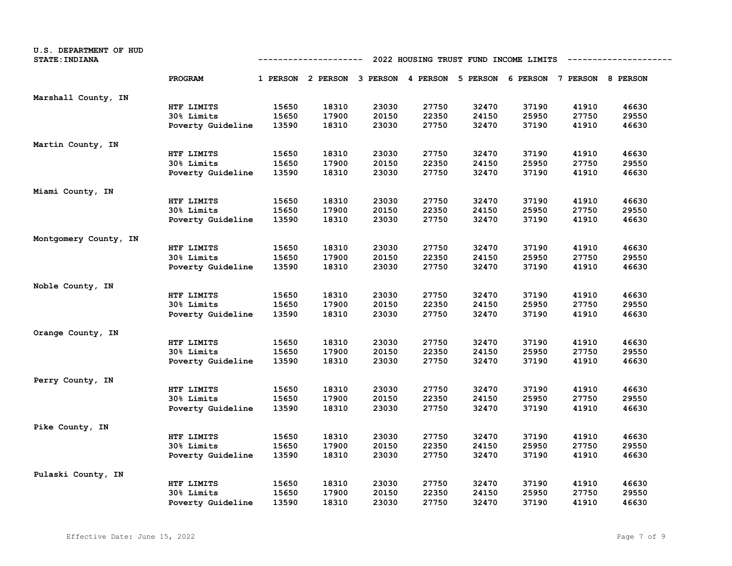| U.S. DEPARTMENT OF HUD<br><b>STATE: INDIANA</b> |                   | 2022 HOUSING TRUST FUND INCOME LIMITS<br>---------- |                                                                         |       |       |       |       |       |       |
|-------------------------------------------------|-------------------|-----------------------------------------------------|-------------------------------------------------------------------------|-------|-------|-------|-------|-------|-------|
|                                                 | PROGRAM           |                                                     | 1 PERSON 2 PERSON 3 PERSON 4 PERSON 5 PERSON 6 PERSON 7 PERSON 8 PERSON |       |       |       |       |       |       |
| Marshall County, IN                             |                   |                                                     |                                                                         |       |       |       |       |       |       |
|                                                 | HTF LIMITS        | 15650                                               | 18310                                                                   | 23030 | 27750 | 32470 | 37190 | 41910 | 46630 |
|                                                 | 30% Limits        | 15650                                               | 17900                                                                   | 20150 | 22350 | 24150 | 25950 | 27750 | 29550 |
|                                                 | Poverty Guideline | 13590                                               | 18310                                                                   | 23030 | 27750 | 32470 | 37190 | 41910 | 46630 |
| Martin County, IN                               |                   |                                                     |                                                                         |       |       |       |       |       |       |
|                                                 | HTF LIMITS        | 15650                                               | 18310                                                                   | 23030 | 27750 | 32470 | 37190 | 41910 | 46630 |
|                                                 | 30% Limits        | 15650                                               | 17900                                                                   | 20150 | 22350 | 24150 | 25950 | 27750 | 29550 |
|                                                 | Poverty Guideline | 13590                                               | 18310                                                                   | 23030 | 27750 | 32470 | 37190 | 41910 | 46630 |
| Miami County, IN                                |                   |                                                     |                                                                         |       |       |       |       |       |       |
|                                                 | HTF LIMITS        | 15650                                               | 18310                                                                   | 23030 | 27750 | 32470 | 37190 | 41910 | 46630 |
|                                                 | 30% Limits        | 15650                                               | 17900                                                                   | 20150 | 22350 | 24150 | 25950 | 27750 | 29550 |
|                                                 | Poverty Guideline | 13590                                               | 18310                                                                   | 23030 | 27750 | 32470 | 37190 | 41910 | 46630 |
| Montgomery County, IN                           |                   |                                                     |                                                                         |       |       |       |       |       |       |
|                                                 | HTF LIMITS        | 15650                                               | 18310                                                                   | 23030 | 27750 | 32470 | 37190 | 41910 | 46630 |
|                                                 | 30% Limits        | 15650                                               | 17900                                                                   | 20150 | 22350 | 24150 | 25950 | 27750 | 29550 |
|                                                 | Poverty Guideline | 13590                                               | 18310                                                                   | 23030 | 27750 | 32470 | 37190 | 41910 | 46630 |
| Noble County, IN                                |                   |                                                     |                                                                         |       |       |       |       |       |       |
|                                                 | HTF LIMITS        | 15650                                               | 18310                                                                   | 23030 | 27750 | 32470 | 37190 | 41910 | 46630 |
|                                                 | 30% Limits        | 15650                                               | 17900                                                                   | 20150 | 22350 | 24150 | 25950 | 27750 | 29550 |
|                                                 | Poverty Guideline | 13590                                               | 18310                                                                   | 23030 | 27750 | 32470 | 37190 | 41910 | 46630 |
| Orange County, IN                               |                   |                                                     |                                                                         |       |       |       |       |       |       |
|                                                 | HTF LIMITS        | 15650                                               | 18310                                                                   | 23030 | 27750 | 32470 | 37190 | 41910 | 46630 |
|                                                 | 30% Limits        | 15650                                               | 17900                                                                   | 20150 | 22350 | 24150 | 25950 | 27750 | 29550 |
|                                                 | Poverty Guideline | 13590                                               | 18310                                                                   | 23030 | 27750 | 32470 | 37190 | 41910 | 46630 |
| Perry County, IN                                |                   |                                                     |                                                                         |       |       |       |       |       |       |
|                                                 | HTF LIMITS        | 15650                                               | 18310                                                                   | 23030 | 27750 | 32470 | 37190 | 41910 | 46630 |
|                                                 | 30% Limits        | 15650                                               | 17900                                                                   | 20150 | 22350 | 24150 | 25950 | 27750 | 29550 |
|                                                 | Poverty Guideline | 13590                                               | 18310                                                                   | 23030 | 27750 | 32470 | 37190 | 41910 | 46630 |
| Pike County, IN                                 |                   |                                                     |                                                                         |       |       |       |       |       |       |
|                                                 | HTF LIMITS        | 15650                                               | 18310                                                                   | 23030 | 27750 | 32470 | 37190 | 41910 | 46630 |
|                                                 | 30% Limits        | 15650                                               | 17900                                                                   | 20150 | 22350 | 24150 | 25950 | 27750 | 29550 |
|                                                 | Poverty Guideline | 13590                                               | 18310                                                                   | 23030 | 27750 | 32470 | 37190 | 41910 | 46630 |
| Pulaski County, IN                              |                   |                                                     |                                                                         |       |       |       |       |       |       |
|                                                 | HTF LIMITS        | 15650                                               | 18310                                                                   | 23030 | 27750 | 32470 | 37190 | 41910 | 46630 |
|                                                 | 30% Limits        | 15650                                               | 17900                                                                   | 20150 | 22350 | 24150 | 25950 | 27750 | 29550 |
|                                                 | Poverty Guideline | 13590                                               | 18310                                                                   | 23030 | 27750 | 32470 | 37190 | 41910 | 46630 |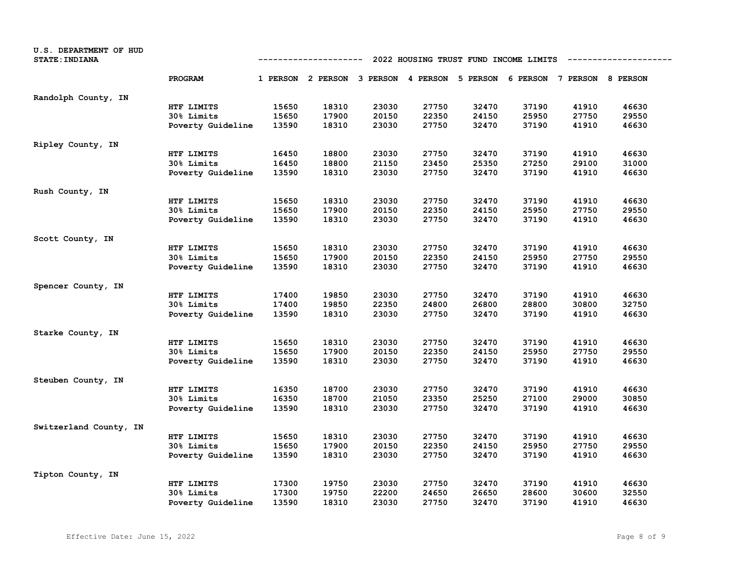| U.S. DEPARTMENT OF HUD<br><b>STATE: INDIANA</b> | 2022 HOUSING TRUST FUND INCOME LIMITS<br>-----------------<br>---------- |       |                                     |       |       |                                     |       |       |       |
|-------------------------------------------------|--------------------------------------------------------------------------|-------|-------------------------------------|-------|-------|-------------------------------------|-------|-------|-------|
|                                                 | PROGRAM                                                                  |       | 1 PERSON 2 PERSON 3 PERSON 4 PERSON |       |       | 5 PERSON 6 PERSON 7 PERSON 8 PERSON |       |       |       |
| Randolph County, IN                             |                                                                          |       |                                     |       |       |                                     |       |       |       |
|                                                 | HTF LIMITS                                                               | 15650 | 18310                               | 23030 | 27750 | 32470                               | 37190 | 41910 | 46630 |
|                                                 | 30% Limits                                                               | 15650 | 17900                               | 20150 | 22350 | 24150                               | 25950 | 27750 | 29550 |
|                                                 | Poverty Guideline                                                        | 13590 | 18310                               | 23030 | 27750 | 32470                               | 37190 | 41910 | 46630 |
| Ripley County, IN                               |                                                                          |       |                                     |       |       |                                     |       |       |       |
|                                                 | HTF LIMITS                                                               | 16450 | 18800                               | 23030 | 27750 | 32470                               | 37190 | 41910 | 46630 |
|                                                 | 30% Limits                                                               | 16450 | 18800                               | 21150 | 23450 | 25350                               | 27250 | 29100 | 31000 |
|                                                 | Poverty Guideline                                                        | 13590 | 18310                               | 23030 | 27750 | 32470                               | 37190 | 41910 | 46630 |
| Rush County, IN                                 |                                                                          |       |                                     |       |       |                                     |       |       |       |
|                                                 | HTF LIMITS                                                               | 15650 | 18310                               | 23030 | 27750 | 32470                               | 37190 | 41910 | 46630 |
|                                                 | 30% Limits                                                               | 15650 | 17900                               | 20150 | 22350 | 24150                               | 25950 | 27750 | 29550 |
|                                                 | Poverty Guideline                                                        | 13590 | 18310                               | 23030 | 27750 | 32470                               | 37190 | 41910 | 46630 |
| Scott County, IN                                |                                                                          |       |                                     |       |       |                                     |       |       |       |
|                                                 | HTF LIMITS                                                               | 15650 | 18310                               | 23030 | 27750 | 32470                               | 37190 | 41910 | 46630 |
|                                                 | 30% Limits                                                               | 15650 | 17900                               | 20150 | 22350 | 24150                               | 25950 | 27750 | 29550 |
|                                                 | Poverty Guideline                                                        | 13590 | 18310                               | 23030 | 27750 | 32470                               | 37190 | 41910 | 46630 |
| Spencer County, IN                              |                                                                          |       |                                     |       |       |                                     |       |       |       |
|                                                 | HTF LIMITS                                                               | 17400 | 19850                               | 23030 | 27750 | 32470                               | 37190 | 41910 | 46630 |
|                                                 | 30% Limits                                                               | 17400 | 19850                               | 22350 | 24800 | 26800                               | 28800 | 30800 | 32750 |
|                                                 | Poverty Guideline                                                        | 13590 | 18310                               | 23030 | 27750 | 32470                               | 37190 | 41910 | 46630 |
| Starke County, IN                               |                                                                          |       |                                     |       |       |                                     |       |       |       |
|                                                 | HTF LIMITS                                                               | 15650 | 18310                               | 23030 | 27750 | 32470                               | 37190 | 41910 | 46630 |
|                                                 | 30% Limits                                                               | 15650 | 17900                               | 20150 | 22350 | 24150                               | 25950 | 27750 | 29550 |
|                                                 | Poverty Guideline                                                        | 13590 | 18310                               | 23030 | 27750 | 32470                               | 37190 | 41910 | 46630 |
| Steuben County, IN                              |                                                                          |       |                                     |       |       |                                     |       |       |       |
|                                                 | HTF LIMITS                                                               | 16350 | 18700                               | 23030 | 27750 | 32470                               | 37190 | 41910 | 46630 |
|                                                 | 30% Limits                                                               | 16350 | 18700                               | 21050 | 23350 | 25250                               | 27100 | 29000 | 30850 |
|                                                 | Poverty Guideline                                                        | 13590 | 18310                               | 23030 | 27750 | 32470                               | 37190 | 41910 | 46630 |
| Switzerland County, IN                          |                                                                          |       |                                     |       |       |                                     |       |       |       |
|                                                 | HTF LIMITS                                                               | 15650 | 18310                               | 23030 | 27750 | 32470                               | 37190 | 41910 | 46630 |
|                                                 | 30% Limits                                                               | 15650 | 17900                               | 20150 | 22350 | 24150                               | 25950 | 27750 | 29550 |
|                                                 | Poverty Guideline                                                        | 13590 | 18310                               | 23030 | 27750 | 32470                               | 37190 | 41910 | 46630 |
| Tipton County, IN                               |                                                                          |       |                                     |       |       |                                     |       |       |       |
|                                                 | HTF LIMITS                                                               | 17300 | 19750                               | 23030 | 27750 | 32470                               | 37190 | 41910 | 46630 |
|                                                 | 30% Limits                                                               | 17300 | 19750                               | 22200 | 24650 | 26650                               | 28600 | 30600 | 32550 |
|                                                 | Poverty Guideline                                                        | 13590 | 18310                               | 23030 | 27750 | 32470                               | 37190 | 41910 | 46630 |